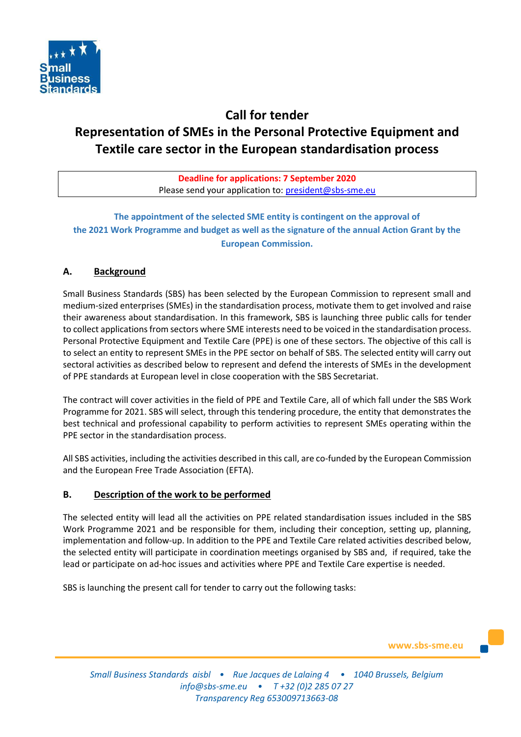

# **Call for tender Representation of SMEs in the Personal Protective Equipment and Textile care sector in the European standardisation process**

**Deadline for applications: 7 September 2020** Please send your application to: [president@sbs-sme.eu](mailto:president@sbs-sme.eu)

**The appointment of the selected SME entity is contingent on the approval of the 2021 Work Programme and budget as well as the signature of the annual Action Grant by the European Commission.** 

# **A. Background**

Small Business Standards (SBS) has been selected by the European Commission to represent small and medium-sized enterprises (SMEs) in the standardisation process, motivate them to get involved and raise their awareness about standardisation. In this framework, SBS is launching three public calls for tender to collect applications from sectors where SME interests need to be voiced in the standardisation process. Personal Protective Equipment and Textile Care (PPE) is one of these sectors. The objective of this call is to select an entity to represent SMEs in the PPE sector on behalf of SBS. The selected entity will carry out sectoral activities as described below to represent and defend the interests of SMEs in the development of PPE standards at European level in close cooperation with the SBS Secretariat.

The contract will cover activities in the field of PPE and Textile Care, all of which fall under the SBS Work Programme for 2021. SBS will select, through this tendering procedure, the entity that demonstrates the best technical and professional capability to perform activities to represent SMEs operating within the PPE sector in the standardisation process.

All SBS activities, including the activities described in this call, are co-funded by the European Commission and the European Free Trade Association (EFTA).

## **B. Description of the work to be performed**

The selected entity will lead all the activities on PPE related standardisation issues included in the SBS Work Programme 2021 and be responsible for them, including their conception, setting up, planning, implementation and follow-up. In addition to the PPE and Textile Care related activities described below, the selected entity will participate in coordination meetings organised by SBS and, if required, take the lead or participate on ad-hoc issues and activities where PPE and Textile Care expertise is needed.

SBS is launching the present call for tender to carry out the following tasks:

**www.sbs-sme.eu**

*Small Business Standards aisbl • Rue Jacques de Lalaing 4 • 1040 Brussels, Belgium [info@sbs-sme.eu](mailto:info@sbs-sme.eu) • T +32 (0)2 285 07 27 Transparency Reg 653009713663-08*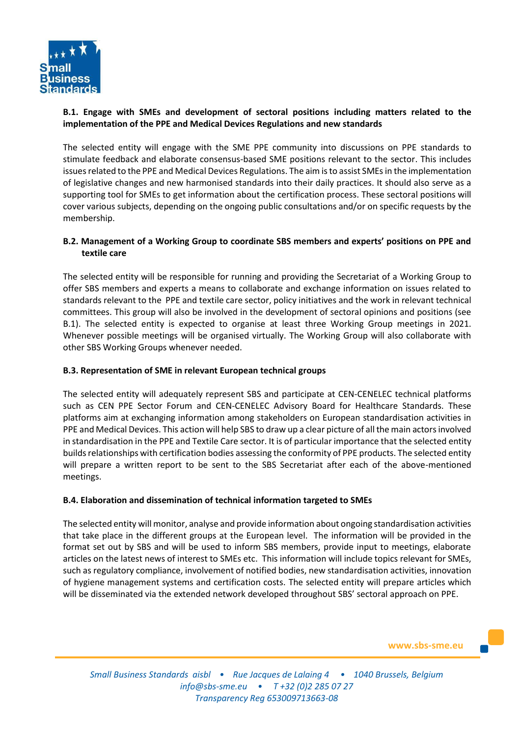

# **B.1. Engage with SMEs and development of sectoral positions including matters related to the implementation of the PPE and Medical Devices Regulations and new standards**

The selected entity will engage with the SME PPE community into discussions on PPE standards to stimulate feedback and elaborate consensus-based SME positions relevant to the sector. This includes issues related to the PPE and Medical Devices Regulations. The aim is to assist SMEs in the implementation of legislative changes and new harmonised standards into their daily practices. It should also serve as a supporting tool for SMEs to get information about the certification process. These sectoral positions will cover various subjects, depending on the ongoing public consultations and/or on specific requests by the membership.

## **B.2. Management of a Working Group to coordinate SBS members and experts' positions on PPE and textile care**

The selected entity will be responsible for running and providing the Secretariat of a Working Group to offer SBS members and experts a means to collaborate and exchange information on issues related to standards relevant to the PPE and textile care sector, policy initiatives and the work in relevant technical committees. This group will also be involved in the development of sectoral opinions and positions (see B.1). The selected entity is expected to organise at least three Working Group meetings in 2021. Whenever possible meetings will be organised virtually. The Working Group will also collaborate with other SBS Working Groups whenever needed.

## **B.3. Representation of SME in relevant European technical groups**

The selected entity will adequately represent SBS and participate at CEN-CENELEC technical platforms such as CEN PPE Sector Forum and CEN-CENELEC Advisory Board for Healthcare Standards. These platforms aim at exchanging information among stakeholders on European standardisation activities in PPE and Medical Devices. This action will help SBS to draw up a clear picture of all the main actors involved in standardisation in the PPE and Textile Care sector. It is of particular importance that the selected entity builds relationships with certification bodies assessing the conformity of PPE products. The selected entity will prepare a written report to be sent to the SBS Secretariat after each of the above-mentioned meetings.

## **B.4. Elaboration and dissemination of technical information targeted to SMEs**

The selected entity will monitor, analyse and provide information about ongoing standardisation activities that take place in the different groups at the European level. The information will be provided in the format set out by SBS and will be used to inform SBS members, provide input to meetings, elaborate articles on the latest news of interest to SMEs etc. This information will include topics relevant for SMEs, such as regulatory compliance, involvement of notified bodies, new standardisation activities, innovation of hygiene management systems and certification costs. The selected entity will prepare articles which will be disseminated via the extended network developed throughout SBS' sectoral approach on PPE.

**www.sbs-sme.eu**

*Small Business Standards aisbl • Rue Jacques de Lalaing 4 • 1040 Brussels, Belgium [info@sbs-sme.eu](mailto:info@sbs-sme.eu) • T +32 (0)2 285 07 27 Transparency Reg 653009713663-08*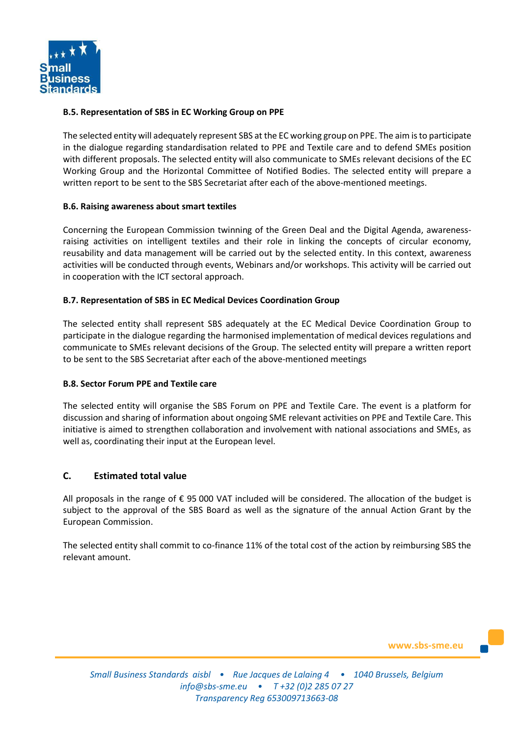

#### **B.5. Representation of SBS in EC Working Group on PPE**

The selected entity will adequately represent SBS at the EC working group on PPE. The aim isto participate in the dialogue regarding standardisation related to PPE and Textile care and to defend SMEs position with different proposals. The selected entity will also communicate to SMEs relevant decisions of the EC Working Group and the Horizontal Committee of Notified Bodies. The selected entity will prepare a written report to be sent to the SBS Secretariat after each of the above-mentioned meetings.

#### **B.6. Raising awareness about smart textiles**

Concerning the European Commission twinning of the Green Deal and the Digital Agenda, awarenessraising activities on intelligent textiles and their role in linking the concepts of circular economy, reusability and data management will be carried out by the selected entity. In this context, awareness activities will be conducted through events, Webinars and/or workshops. This activity will be carried out in cooperation with the ICT sectoral approach.

#### **B.7. Representation of SBS in EC Medical Devices Coordination Group**

The selected entity shall represent SBS adequately at the EC Medical Device Coordination Group to participate in the dialogue regarding the harmonised implementation of medical devices regulations and communicate to SMEs relevant decisions of the Group. The selected entity will prepare a written report to be sent to the SBS Secretariat after each of the above-mentioned meetings

#### **B.8. Sector Forum PPE and Textile care**

The selected entity will organise the SBS Forum on PPE and Textile Care. The event is a platform for discussion and sharing of information about ongoing SME relevant activities on PPE and Textile Care. This initiative is aimed to strengthen collaboration and involvement with national associations and SMEs, as well as, coordinating their input at the European level.

#### **C. Estimated total value**

All proposals in the range of € 95 000 VAT included will be considered. The allocation of the budget is subject to the approval of the SBS Board as well as the signature of the annual Action Grant by the European Commission.

The selected entity shall commit to co-finance 11% of the total cost of the action by reimbursing SBS the relevant amount.

**www.sbs-sme.eu**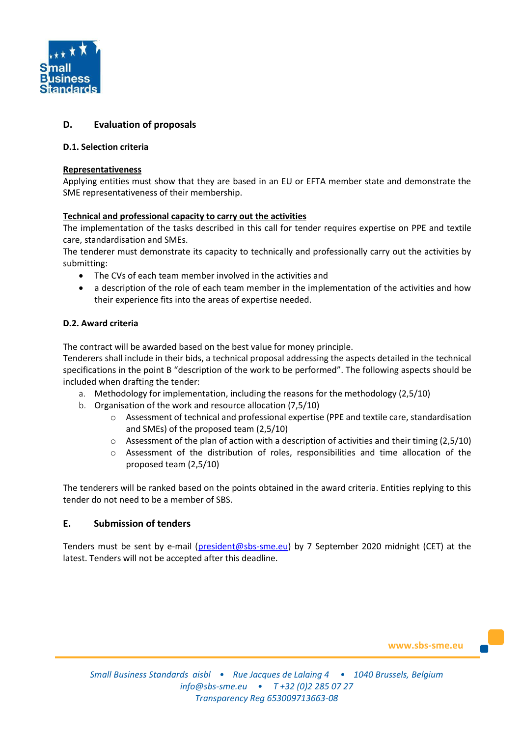

# **D. Evaluation of proposals**

#### **D.1. Selection criteria**

#### **Representativeness**

Applying entities must show that they are based in an EU or EFTA member state and demonstrate the SME representativeness of their membership.

#### **Technical and professional capacity to carry out the activities**

The implementation of the tasks described in this call for tender requires expertise on PPE and textile care, standardisation and SMEs.

The tenderer must demonstrate its capacity to technically and professionally carry out the activities by submitting:

- The CVs of each team member involved in the activities and
- a description of the role of each team member in the implementation of the activities and how their experience fits into the areas of expertise needed.

#### **D.2. Award criteria**

The contract will be awarded based on the best value for money principle.

Tenderers shall include in their bids, a technical proposal addressing the aspects detailed in the technical specifications in the point B "description of the work to be performed". The following aspects should be included when drafting the tender:

- a. Methodology for implementation, including the reasons for the methodology (2,5/10)
- b. Organisation of the work and resource allocation (7,5/10)
	- o Assessment of technical and professional expertise (PPE and textile care, standardisation and SMEs) of the proposed team (2,5/10)
	- $\circ$  Assessment of the plan of action with a description of activities and their timing (2,5/10)
	- o Assessment of the distribution of roles, responsibilities and time allocation of the proposed team (2,5/10)

The tenderers will be ranked based on the points obtained in the award criteria. Entities replying to this tender do not need to be a member of SBS.

## **E. Submission of tenders**

Tenders must be sent by e-mail [\(president@sbs-sme.eu\)](mailto:president@sbs-sme.eu) by 7 September 2020 midnight (CET) at the latest. Tenders will not be accepted after this deadline.

**www.sbs-sme.eu**